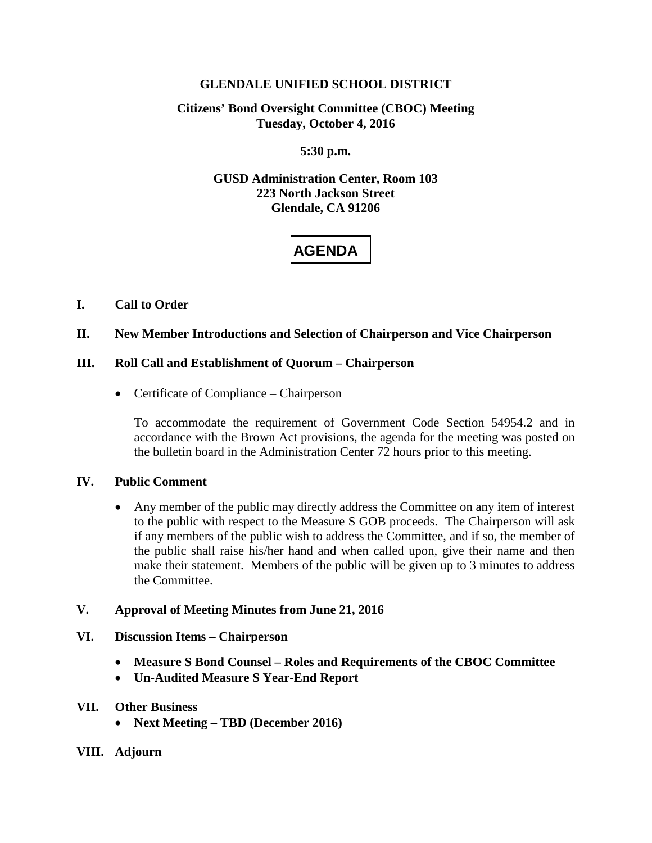## **GLENDALE UNIFIED SCHOOL DISTRICT**

# **Citizens' Bond Oversight Committee (CBOC) Meeting Tuesday, October 4, 2016**

# **5:30 p.m.**

# **GUSD Administration Center, Room 103 223 North Jackson Street Glendale, CA 91206**

# **AGENDA**

# **I. Call to Order**

## **II. New Member Introductions and Selection of Chairperson and Vice Chairperson**

## **III. Roll Call and Establishment of Quorum – Chairperson**

• Certificate of Compliance – Chairperson

To accommodate the requirement of Government Code Section 54954.2 and in accordance with the Brown Act provisions, the agenda for the meeting was posted on the bulletin board in the Administration Center 72 hours prior to this meeting.

#### **IV. Public Comment**

• Any member of the public may directly address the Committee on any item of interest to the public with respect to the Measure S GOB proceeds. The Chairperson will ask if any members of the public wish to address the Committee, and if so, the member of the public shall raise his/her hand and when called upon, give their name and then make their statement. Members of the public will be given up to 3 minutes to address the Committee.

#### **V. Approval of Meeting Minutes from June 21, 2016**

#### **VI. Discussion Items – Chairperson**

- **Measure S Bond Counsel – Roles and Requirements of the CBOC Committee**
- **Un-Audited Measure S Year-End Report**

#### **VII. Other Business**

- **Next Meeting – TBD (December 2016)**
- **VIII. Adjourn**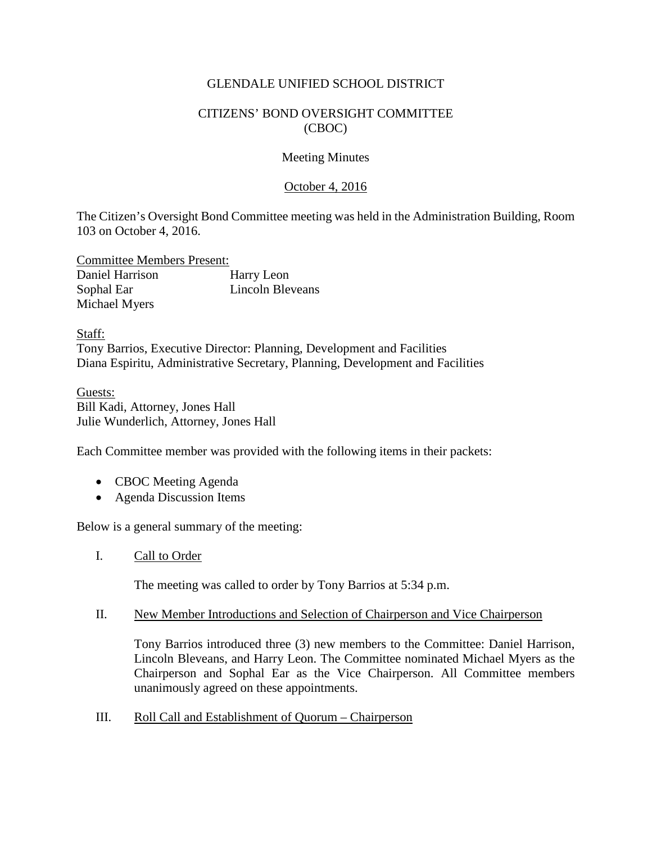# GLENDALE UNIFIED SCHOOL DISTRICT

# CITIZENS' BOND OVERSIGHT COMMITTEE (CBOC)

#### Meeting Minutes

## October 4, 2016

The Citizen's Oversight Bond Committee meeting was held in the Administration Building, Room 103 on October 4, 2016.

Committee Members Present: Daniel Harrison Harry Leon Sophal Ear Lincoln Bleveans Michael Myers

Staff: Tony Barrios, Executive Director: Planning, Development and Facilities Diana Espiritu, Administrative Secretary, Planning, Development and Facilities

Guests: Bill Kadi, Attorney, Jones Hall Julie Wunderlich, Attorney, Jones Hall

Each Committee member was provided with the following items in their packets:

- CBOC Meeting Agenda
- Agenda Discussion Items

Below is a general summary of the meeting:

I. Call to Order

The meeting was called to order by Tony Barrios at 5:34 p.m.

II. New Member Introductions and Selection of Chairperson and Vice Chairperson

Tony Barrios introduced three (3) new members to the Committee: Daniel Harrison, Lincoln Bleveans, and Harry Leon. The Committee nominated Michael Myers as the Chairperson and Sophal Ear as the Vice Chairperson. All Committee members unanimously agreed on these appointments.

III. Roll Call and Establishment of Quorum – Chairperson